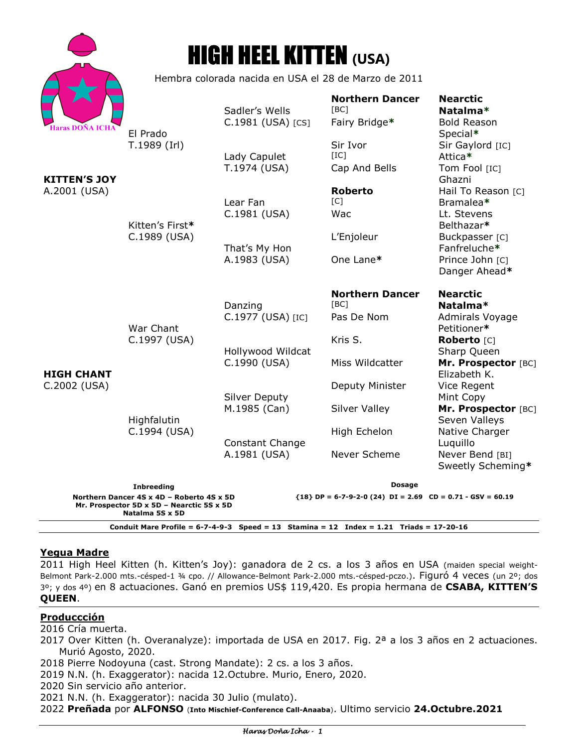| Haras DOÑA ICHA |
|-----------------|

# HIGH HEEL KITTEN **(USA)**

Hembra colorada nacida en USA el 28 de Marzo de 2011

|                                                                                                                                                                           |                                                             | Sadler's Wells                    | <b>Northern Dancer</b><br>[BC] | <b>Nearctic</b><br>Natalma*          |  |
|---------------------------------------------------------------------------------------------------------------------------------------------------------------------------|-------------------------------------------------------------|-----------------------------------|--------------------------------|--------------------------------------|--|
| <b>Haras DOÑA ICHA</b><br>KITTEN'S JOY<br>A.2001 (USA)                                                                                                                    | El Prado<br>T.1989 (Irl)<br>Kitten's First*<br>C.1989 (USA) | C.1981 (USA) [CS]                 | Fairy Bridge*                  | <b>Bold Reason</b><br>Special*       |  |
|                                                                                                                                                                           |                                                             | Lady Capulet<br>T.1974 (USA)      | Sir Ivor<br>[IC]               | Sir Gaylord [IC]<br>Attica*          |  |
|                                                                                                                                                                           |                                                             |                                   | Cap And Bells                  | Tom Fool [IC]<br>Ghazni              |  |
|                                                                                                                                                                           |                                                             | Lear Fan                          | <b>Roberto</b><br>[C]          | Hail To Reason [C]<br>Bramalea*      |  |
|                                                                                                                                                                           |                                                             | C.1981 (USA)                      | Wac                            | Lt. Stevens<br>Belthazar*            |  |
|                                                                                                                                                                           |                                                             | That's My Hon                     | L'Enjoleur                     | Buckpasser [C]<br>Fanfreluche*       |  |
| <b>HIGH CHANT</b><br>C.2002 (USA)                                                                                                                                         | War Chant<br>C.1997 (USA)<br>Highfalutin<br>C.1994 (USA)    | A.1983 (USA)                      | One Lane*                      | Prince John [C]<br>Danger Ahead*     |  |
|                                                                                                                                                                           |                                                             | Danzing                           | <b>Northern Dancer</b><br>[BC] | <b>Nearctic</b><br>Natalma*          |  |
|                                                                                                                                                                           |                                                             | C.1977 (USA) [IC]                 | Pas De Nom                     | Admirals Voyage<br>Petitioner*       |  |
|                                                                                                                                                                           |                                                             | Hollywood Wildcat<br>C.1990 (USA) | Kris S.                        | Roberto [C]<br>Sharp Queen           |  |
|                                                                                                                                                                           |                                                             |                                   | Miss Wildcatter                | Mr. Prospector [BC]<br>Elizabeth K.  |  |
|                                                                                                                                                                           |                                                             | <b>Silver Deputy</b>              | Deputy Minister                | Vice Regent<br>Mint Copy             |  |
|                                                                                                                                                                           |                                                             | M.1985 (Can)                      | <b>Silver Valley</b>           | Mr. Prospector [BC]<br>Seven Valleys |  |
|                                                                                                                                                                           |                                                             | <b>Constant Change</b>            | High Echelon                   | Native Charger<br>Luquillo           |  |
|                                                                                                                                                                           |                                                             | A.1981 (USA)                      | Never Scheme                   | Never Bend [BI]<br>Sweetly Scheming* |  |
| <b>Inbreeding</b>                                                                                                                                                         |                                                             |                                   | <b>Dosage</b>                  |                                      |  |
| Northern Dancer 4S x 4D - Roberto 4S x 5D<br>${18}$ DP = 6-7-9-2-0 (24) DI = 2.69 CD = 0.71 - GSV = 60.19<br>Mr. Prospector 5D x 5D - Nearctic 5S x 5D<br>Natalma 5S x 5D |                                                             |                                   |                                |                                      |  |

**Conduit Mare Profile = 6-7-4-9-3 Speed = 13 Stamina = 12 Index = 1.21 Triads = 17-20-16** 

### **Yegua Madre**

2011 High Heel Kitten (h. Kitten's Joy): ganadora de 2 cs. a los 3 años en USA (maiden special weight-Belmont Park-2.000 mts.-césped-1 ¾ cpo. // Allowance-Belmont Park-2.000 mts.-césped-pczo.). Figuró 4 veces (un 2º; dos 3º; y dos 4º) en 8 actuaciones. Ganó en premios US\$ 119,420. Es propia hermana de **CSABA, KITTEN'S QUEEN**.

# **Produccción**

2016 Cría muerta.

- 2017 Over Kitten (h. Overanalyze): importada de USA en 2017. Fig. 2ª a los 3 años en 2 actuaciones. Murió Agosto, 2020.
- 2018 Pierre Nodoyuna (cast. Strong Mandate): 2 cs. a los 3 años.
- 2019 N.N. (h. Exaggerator): nacida 12.Octubre. Murio, Enero, 2020.

2020 Sin servicio año anterior.

2021 N.N. (h. Exaggerator): nacida 30 Julio (mulato).

2022 **Preñada** por **ALFONSO** (**Into Mischief-Conference Call-Anaaba**). Ultimo servicio **24.Octubre.2021**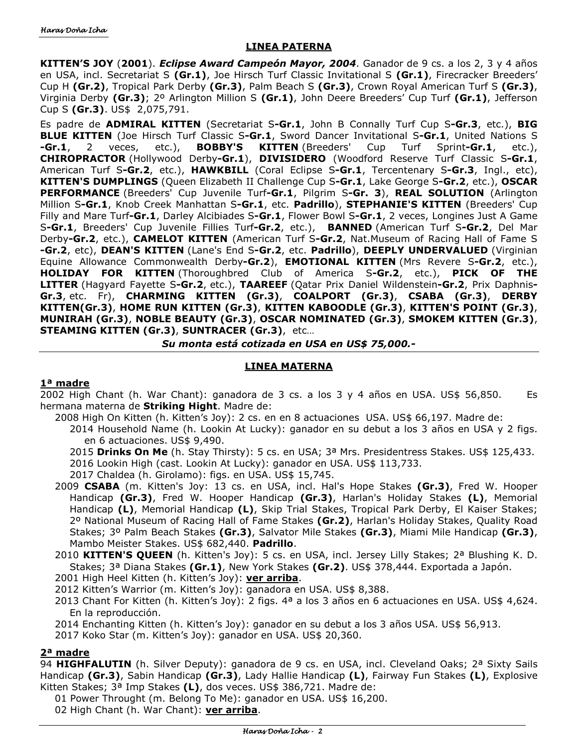#### **LINEA PATERNA**

**KITTEN'S JOY** (**2001**). *Eclipse Award Campeón Mayor, 2004*. Ganador de 9 cs. a los 2, 3 y 4 años en USA, incl. Secretariat S **(Gr.1)**, Joe Hirsch Turf Classic Invitational S **(Gr.1)**, Firecracker Breeders' Cup H **(Gr.2)**, Tropical Park Derby **(Gr.3)**, Palm Beach S **(Gr.3)**, Crown Royal American Turf S **(Gr.3)**, Virginia Derby **(Gr.3)**; 2º Arlington Million S **(Gr.1)**, John Deere Breeders' Cup Turf **(Gr.1)**, Jefferson Cup S **(Gr.3)**. US\$ 2,075,791.

Es padre de **ADMIRAL KITTEN** (Secretariat S**-Gr.1**, John B Connally Turf Cup S**-Gr.3**, etc.), **BIG BLUE KITTEN** (Joe Hirsch Turf Classic S**-Gr.1**, Sword Dancer Invitational S**-Gr.1**, United Nations S **-Gr.1**, 2 veces, etc.), **BOBBY'S KITTEN** (Breeders' Cup Turf Sprint**-Gr.1**, etc.), **CHIROPRACTOR** (Hollywood Derby**-Gr.1**), **DIVISIDERO** (Woodford Reserve Turf Classic S**-Gr.1**, American Turf S**-Gr.2**, etc.), **HAWKBILL** (Coral Eclipse S**-Gr.1**, Tercentenary S**-Gr.3**, Ingl., etc), **KITTEN'S DUMPLINGS** (Queen Elizabeth II Challenge Cup S**-Gr.1**, Lake George S**-Gr.2**, etc.), **OSCAR PERFORMANCE** (Breeders' Cup Juvenile Turf**-Gr.1**, Pilgrim S**-Gr. 3**), **REAL SOLUTION** (Arlington Million S**-Gr.1**, Knob Creek Manhattan S**-Gr.1**, etc. **Padrillo**), **STEPHANIE'S KITTEN** (Breeders' Cup Filly and Mare Turf**-Gr.1**, Darley Alcibiades S**-Gr.1**, Flower Bowl S**-Gr.1**, 2 veces, Longines Just A Game S**-Gr.1**, Breeders' Cup Juvenile Fillies Turf**-Gr.2**, etc.), **BANNED** (American Turf S**-Gr.2**, Del Mar Derby**-Gr.2**, etc.), **CAMELOT KITTEN** (American Turf S**-Gr.2**, Nat.Museum of Racing Hall of Fame S **-Gr.2**, etc), **DEAN'S KITTEN** (Lane's End S**-Gr.2**, etc. **Padrillo**), **DEEPLY UNDERVALUED** (Virginian Equine Allowance Commonwealth Derby**-Gr.2**), **EMOTIONAL KITTEN** (Mrs Revere S**-Gr.2**, etc.), **HOLIDAY FOR KITTEN** (Thoroughbred Club of America S**-Gr.2**, etc.), **PICK OF THE LITTER** (Hagyard Fayette S**-Gr.2**, etc.), **TAAREEF** (Qatar Prix Daniel Wildenstein**-Gr.2**, Prix Daphnis**-Gr.3**, etc. Fr), **CHARMING KITTEN (Gr.3)**, **COALPORT (Gr.3)**, **CSABA (Gr.3)**, **DERBY KITTEN(Gr.3)**, **HOME RUN KITTEN (Gr.3)**, **KITTEN KABOODLE (Gr.3)**, **KITTEN'S POINT (Gr.3)**, **MUNIRAH (Gr.3)**, **NOBLE BEAUTY (Gr.3)**, **OSCAR NOMINATED (Gr.3)**, **SMOKEM KITTEN (Gr.3)**, **STEAMING KITTEN (Gr.3)**, **SUNTRACER (Gr.3)**, etc…

*Su monta está cotizada en USA en US\$ 75,000.-* 

## **LINEA MATERNA**

#### **1ª madre**

2002 High Chant (h. War Chant): ganadora de 3 cs. a los 3 y 4 años en USA. US\$ 56,850. Es hermana materna de **Striking Hight**. Madre de:

- 2008 High On Kitten (h. Kitten's Joy): 2 cs. en en 8 actuaciones USA. US\$ 66,197. Madre de:
	- 2014 Household Name (h. Lookin At Lucky): ganador en su debut a los 3 años en USA y 2 figs. en 6 actuaciones. US\$ 9,490.
	- 2015 **Drinks On Me** (h. Stay Thirsty): 5 cs. en USA; 3ª Mrs. Presidentress Stakes. US\$ 125,433. 2016 Lookin High (cast. Lookin At Lucky): ganador en USA. US\$ 113,733.
	- 2017 Chaldea (h. Girolamo): figs. en USA. US\$ 15,745.
- 2009 **CSABA** (m. Kitten's Joy: 13 cs. en USA, incl. Hal's Hope Stakes **(Gr.3)**, Fred W. Hooper Handicap **(Gr.3)**, Fred W. Hooper Handicap **(Gr.3)**, Harlan's Holiday Stakes **(L)**, Memorial Handicap **(L)**, Memorial Handicap **(L)**, Skip Trial Stakes, Tropical Park Derby, El Kaiser Stakes; 2º National Museum of Racing Hall of Fame Stakes **(Gr.2)**, Harlan's Holiday Stakes, Quality Road Stakes; 3º Palm Beach Stakes **(Gr.3)**, Salvator Mile Stakes **(Gr.3)**, Miami Mile Handicap **(Gr.3)**, Mambo Meister Stakes. US\$ 682,440. **Padrillo**.
- 2010 **KITTEN'S QUEEN** (h. Kitten's Joy): 5 cs. en USA, incl. Jersey Lilly Stakes; 2ª Blushing K. D. Stakes; 3ª Diana Stakes **(Gr.1)**, New York Stakes **(Gr.2)**. US\$ 378,444. Exportada a Japón.
- 2001 High Heel Kitten (h. Kitten's Joy): **ver arriba**.
- 2012 Kitten's Warrior (m. Kitten's Joy): ganadora en USA. US\$ 8,388.
- 2013 Chant For Kitten (h. Kitten's Joy): 2 figs. 4ª a los 3 años en 6 actuaciones en USA. US\$ 4,624. En la reproducción.
- 2014 Enchanting Kitten (h. Kitten's Joy): ganador en su debut a los 3 años USA. US\$ 56,913.
- 2017 Koko Star (m. Kitten's Joy): ganador en USA. US\$ 20,360.

### **2ª madre**

94 **HIGHFALUTIN** (h. Silver Deputy): ganadora de 9 cs. en USA, incl. Cleveland Oaks; 2ª Sixty Sails Handicap **(Gr.3)**, Sabin Handicap **(Gr.3)**, Lady Hallie Handicap **(L)**, Fairway Fun Stakes **(L)**, Explosive Kitten Stakes; 3ª Imp Stakes **(L)**, dos veces. US\$ 386,721. Madre de:

01 Power Throught (m. Belong To Me): ganador en USA. US\$ 16,200.

02 High Chant (h. War Chant): **ver arriba**.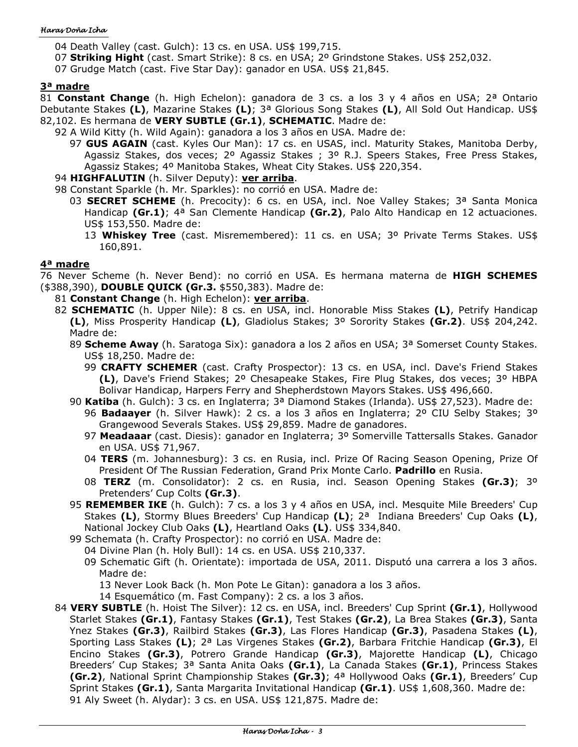#### Haras Doña Icha

04 Death Valley (cast. Gulch): 13 cs. en USA. US\$ 199,715.

07 **Striking Hight** (cast. Smart Strike): 8 cs. en USA; 2º Grindstone Stakes. US\$ 252,032.

07 Grudge Match (cast. Five Star Day): ganador en USA. US\$ 21,845.

#### **3ª madre**

81 **Constant Change** (h. High Echelon): ganadora de 3 cs. a los 3 y 4 años en USA; 2ª Ontario Debutante Stakes **(L)**, Mazarine Stakes **(L)**; 3ª Glorious Song Stakes **(L)**, All Sold Out Handicap. US\$ 82,102. Es hermana de **VERY SUBTLE (Gr.1)**, **SCHEMATIC**. Madre de:

- 92 A Wild Kitty (h. Wild Again): ganadora a los 3 años en USA. Madre de:
	- 97 **GUS AGAIN** (cast. Kyles Our Man): 17 cs. en USAS, incl. Maturity Stakes, Manitoba Derby, Agassiz Stakes, dos veces; 2º Agassiz Stakes ; 3º R.J. Speers Stakes, Free Press Stakes, Agassiz Stakes; 4º Manitoba Stakes, Wheat City Stakes. US\$ 220,354.
- 94 **HIGHFALUTIN** (h. Silver Deputy): **ver arriba**.

98 Constant Sparkle (h. Mr. Sparkles): no corrió en USA. Madre de:

- 03 **SECRET SCHEME** (h. Precocity): 6 cs. en USA, incl. Noe Valley Stakes; 3ª Santa Monica Handicap **(Gr.1)**; 4ª San Clemente Handicap **(Gr.2)**, Palo Alto Handicap en 12 actuaciones. US\$ 153,550. Madre de:
	- 13 **Whiskey Tree** (cast. Misremembered): 11 cs. en USA; 3º Private Terms Stakes. US\$ 160,891.

### **4ª madre**

76 Never Scheme (h. Never Bend): no corrió en USA. Es hermana materna de **HIGH SCHEMES** (\$388,390), **DOUBLE QUICK (Gr.3.** \$550,383). Madre de:

- 81 **Constant Change** (h. High Echelon): **ver arriba**.
- 82 **SCHEMATIC** (h. Upper Nile): 8 cs. en USA, incl. Honorable Miss Stakes **(L)**, Petrify Handicap **(L)**, Miss Prosperity Handicap **(L)**, Gladiolus Stakes; 3º Sorority Stakes **(Gr.2)**. US\$ 204,242. Madre de:
	- 89 **Scheme Away** (h. Saratoga Six): ganadora a los 2 años en USA; 3ª Somerset County Stakes. US\$ 18,250. Madre de:
		- 99 **CRAFTY SCHEMER** (cast. Crafty Prospector): 13 cs. en USA, incl. Dave's Friend Stakes **(L)**, Dave's Friend Stakes; 2º Chesapeake Stakes, Fire Plug Stakes, dos veces; 3º HBPA Bolivar Handicap, Harpers Ferry and Shepherdstown Mayors Stakes. US\$ 496,660.
	- 90 **Katiba** (h. Gulch): 3 cs. en Inglaterra; 3ª Diamond Stakes (Irlanda). US\$ 27,523). Madre de:
		- 96 **Badaayer** (h. Silver Hawk): 2 cs. a los 3 años en Inglaterra; 2º CIU Selby Stakes; 3º Grangewood Severals Stakes. US\$ 29,859. Madre de ganadores.
		- 97 **Meadaaar** (cast. Diesis): ganador en Inglaterra; 3º Somerville Tattersalls Stakes. Ganador en USA. US\$ 71,967.
		- 04 **TERS** (m. Johannesburg): 3 cs. en Rusia, incl. Prize Of Racing Season Opening, Prize Of President Of The Russian Federation, Grand Prix Monte Carlo. **Padrillo** en Rusia.
		- 08 **TERZ** (m. Consolidator): 2 cs. en Rusia, incl. Season Opening Stakes **(Gr.3)**; 3º Pretenders' Cup Colts **(Gr.3)**.
	- 95 **REMEMBER IKE** (h. Gulch): 7 cs. a los 3 y 4 años en USA, incl. Mesquite Mile Breeders' Cup Stakes **(L)**, Stormy Blues Breeders' Cup Handicap **(L)**; 2ª Indiana Breeders' Cup Oaks **(L)**, National Jockey Club Oaks **(L)**, Heartland Oaks **(L)**. US\$ 334,840.
	- 99 Schemata (h. Crafty Prospector): no corrió en USA. Madre de:
		- 04 Divine Plan (h. Holy Bull): 14 cs. en USA. US\$ 210,337.
		- 09 Schematic Gift (h. Orientate): importada de USA, 2011. Disputó una carrera a los 3 años. Madre de:

13 Never Look Back (h. Mon Pote Le Gitan): ganadora a los 3 años.

14 Esquemático (m. Fast Company): 2 cs. a los 3 años.

84 **VERY SUBTLE** (h. Hoist The Silver): 12 cs. en USA, incl. Breeders' Cup Sprint **(Gr.1)**, Hollywood Starlet Stakes **(Gr.1)**, Fantasy Stakes **(Gr.1)**, Test Stakes **(Gr.2)**, La Brea Stakes **(Gr.3)**, Santa Ynez Stakes **(Gr.3)**, Railbird Stakes **(Gr.3)**, Las Flores Handicap **(Gr.3)**, Pasadena Stakes **(L)**, Sporting Lass Stakes **(L)**; 2ª Las Virgenes Stakes **(Gr.2)**, Barbara Fritchie Handicap **(Gr.3)**, El Encino Stakes **(Gr.3)**, Potrero Grande Handicap **(Gr.3)**, Majorette Handicap **(L)**, Chicago Breeders' Cup Stakes; 3ª Santa Anita Oaks **(Gr.1)**, La Canada Stakes **(Gr.1)**, Princess Stakes **(Gr.2)**, National Sprint Championship Stakes **(Gr.3)**; 4ª Hollywood Oaks **(Gr.1)**, Breeders' Cup Sprint Stakes **(Gr.1)**, Santa Margarita Invitational Handicap **(Gr.1)**. US\$ 1,608,360. Madre de: 91 Aly Sweet (h. Alydar): 3 cs. en USA. US\$ 121,875. Madre de: